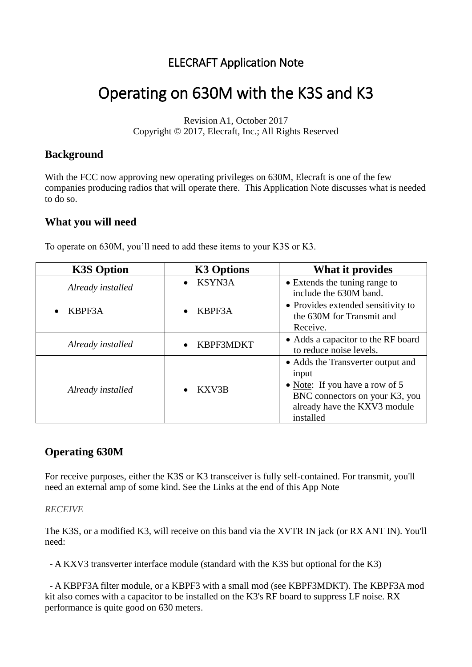## ELECRAFT Application Note

# Operating on 630M with the K3S and K3

Revision A1, October 2017 Copyright © 2017, Elecraft, Inc.; All Rights Reserved

### **Background**

With the FCC now approving new operating privileges on 630M, Elecraft is one of the few companies producing radios that will operate there. This Application Note discusses what is needed to do so.

#### **What you will need**

To operate on 630M, you'll need to add these items to your K3S or K3.

| <b>K3S Option</b> | <b>K3 Options</b>   | What it provides                                                                                                                                            |
|-------------------|---------------------|-------------------------------------------------------------------------------------------------------------------------------------------------------------|
| Already installed | KSYN3A<br>$\bullet$ | • Extends the tuning range to<br>include the 630M band.                                                                                                     |
| KBPF3A            | KBPF3A              | • Provides extended sensitivity to<br>the 630M for Transmit and<br>Receive.                                                                                 |
| Already installed | KBPF3MDKT           | • Adds a capacitor to the RF board<br>to reduce noise levels.                                                                                               |
| Already installed | KXV3B               | • Adds the Transverter output and<br>input<br>• Note: If you have a row of 5<br>BNC connectors on your K3, you<br>already have the KXV3 module<br>installed |

## **Operating 630M**

For receive purposes, either the K3S or K3 transceiver is fully self-contained. For transmit, you'll need an external amp of some kind. See the Links at the end of this App Note

#### *RECEIVE*

The K3S, or a modified K3, will receive on this band via the XVTR IN jack (or RX ANT IN). You'll need:

- A KXV3 transverter interface module (standard with the K3S but optional for the K3)

- A KBPF3A filter module, or a KBPF3 with a small mod (see KBPF3MDKT). The KBPF3A mod kit also comes with a capacitor to be installed on the K3's RF board to suppress LF noise. RX performance is quite good on 630 meters.